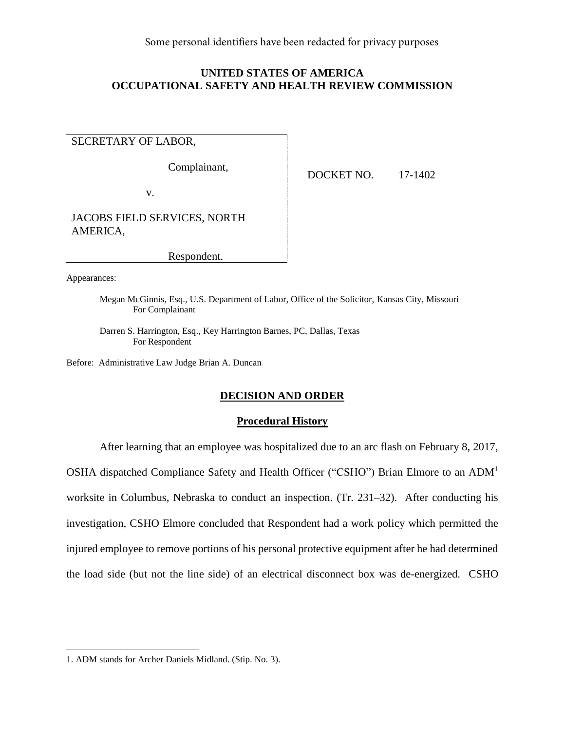Some personal identifiers have been redacted for privacy purposes

# **UNITED STATES OF AMERICA OCCUPATIONAL SAFETY AND HEALTH REVIEW COMMISSION**

SECRETARY OF LABOR,

Complainant,

v.

DOCKET NO. 17-1402

JACOBS FIELD SERVICES, NORTH AMERICA,

Respondent.

Appearances:

Megan McGinnis, Esq., U.S. Department of Labor, Office of the Solicitor, Kansas City, Missouri For Complainant

Darren S. Harrington, Esq., Key Harrington Barnes, PC, Dallas, Texas For Respondent

Before: Administrative Law Judge Brian A. Duncan

# **DECISION AND ORDER**

# **Procedural History**

After learning that an employee was hospitalized due to an arc flash on February 8, 2017,

OSHA dispatched Compliance Safety and Health Officer ("CSHO") Brian Elmore to an ADM<sup>1</sup>

worksite in Columbus, Nebraska to conduct an inspection. (Tr. 231–32). After conducting his investigation, CSHO Elmore concluded that Respondent had a work policy which permitted the

the load side (but not the line side) of an electrical disconnect box was de-energized. CSHO

injured employee to remove portions of his personal protective equipment after he had determined

<sup>1.</sup> ADM stands for Archer Daniels Midland. (Stip. No. 3).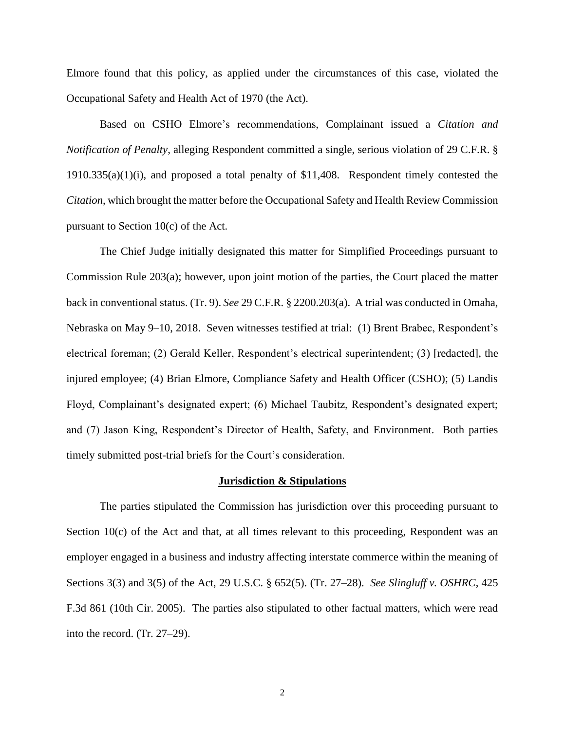Elmore found that this policy, as applied under the circumstances of this case, violated the Occupational Safety and Health Act of 1970 (the Act).

Based on CSHO Elmore's recommendations, Complainant issued a *Citation and Notification of Penalty*, alleging Respondent committed a single, serious violation of 29 C.F.R. § 1910.335(a)(1)(i), and proposed a total penalty of \$11,408. Respondent timely contested the *Citation*, which brought the matter before the Occupational Safety and Health Review Commission pursuant to Section 10(c) of the Act.

The Chief Judge initially designated this matter for Simplified Proceedings pursuant to Commission Rule 203(a); however, upon joint motion of the parties, the Court placed the matter back in conventional status. (Tr. 9). *See* 29 C.F.R. § 2200.203(a). A trial was conducted in Omaha, Nebraska on May 9–10, 2018. Seven witnesses testified at trial: (1) Brent Brabec, Respondent's electrical foreman; (2) Gerald Keller, Respondent's electrical superintendent; (3) [redacted], the injured employee; (4) Brian Elmore, Compliance Safety and Health Officer (CSHO); (5) Landis Floyd, Complainant's designated expert; (6) Michael Taubitz, Respondent's designated expert; and (7) Jason King, Respondent's Director of Health, Safety, and Environment. Both parties timely submitted post-trial briefs for the Court's consideration.

#### **Jurisdiction & Stipulations**

The parties stipulated the Commission has jurisdiction over this proceeding pursuant to Section  $10(c)$  of the Act and that, at all times relevant to this proceeding, Respondent was an employer engaged in a business and industry affecting interstate commerce within the meaning of Sections 3(3) and 3(5) of the Act, 29 U.S.C. § 652(5). (Tr. 27–28). *See Slingluff v. OSHRC*, 425 F.3d 861 (10th Cir. 2005). The parties also stipulated to other factual matters, which were read into the record. (Tr. 27–29).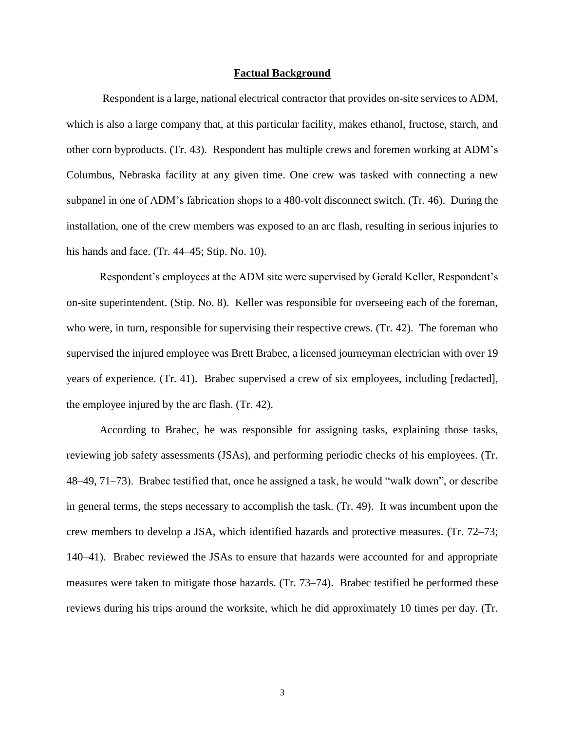#### **Factual Background**

Respondent is a large, national electrical contractor that provides on-site services to ADM, which is also a large company that, at this particular facility, makes ethanol, fructose, starch, and other corn byproducts. (Tr. 43). Respondent has multiple crews and foremen working at ADM's Columbus, Nebraska facility at any given time. One crew was tasked with connecting a new subpanel in one of ADM's fabrication shops to a 480-volt disconnect switch. (Tr. 46). During the installation, one of the crew members was exposed to an arc flash, resulting in serious injuries to his hands and face. (Tr. 44–45; Stip. No. 10).

Respondent's employees at the ADM site were supervised by Gerald Keller, Respondent's on-site superintendent. (Stip. No. 8). Keller was responsible for overseeing each of the foreman, who were, in turn, responsible for supervising their respective crews. (Tr. 42). The foreman who supervised the injured employee was Brett Brabec, a licensed journeyman electrician with over 19 years of experience. (Tr. 41). Brabec supervised a crew of six employees, including [redacted], the employee injured by the arc flash. (Tr. 42).

According to Brabec, he was responsible for assigning tasks, explaining those tasks, reviewing job safety assessments (JSAs), and performing periodic checks of his employees. (Tr. 48–49, 71–73). Brabec testified that, once he assigned a task, he would "walk down", or describe in general terms, the steps necessary to accomplish the task. (Tr. 49). It was incumbent upon the crew members to develop a JSA, which identified hazards and protective measures. (Tr. 72–73; 140–41). Brabec reviewed the JSAs to ensure that hazards were accounted for and appropriate measures were taken to mitigate those hazards. (Tr. 73–74). Brabec testified he performed these reviews during his trips around the worksite, which he did approximately 10 times per day. (Tr.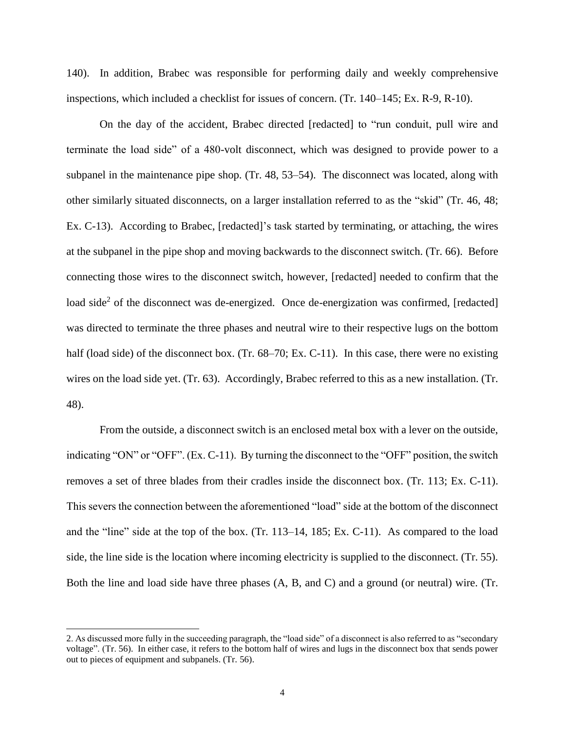140). In addition, Brabec was responsible for performing daily and weekly comprehensive inspections, which included a checklist for issues of concern. (Tr. 140–145; Ex. R-9, R-10).

On the day of the accident, Brabec directed [redacted] to "run conduit, pull wire and terminate the load side" of a 480-volt disconnect, which was designed to provide power to a subpanel in the maintenance pipe shop. (Tr. 48, 53–54). The disconnect was located, along with other similarly situated disconnects, on a larger installation referred to as the "skid" (Tr. 46, 48; Ex. C-13). According to Brabec, [redacted]'s task started by terminating, or attaching, the wires at the subpanel in the pipe shop and moving backwards to the disconnect switch. (Tr. 66). Before connecting those wires to the disconnect switch, however, [redacted] needed to confirm that the load side<sup>2</sup> of the disconnect was de-energized. Once de-energization was confirmed, [redacted] was directed to terminate the three phases and neutral wire to their respective lugs on the bottom half (load side) of the disconnect box. (Tr. 68–70; Ex. C-11). In this case, there were no existing wires on the load side yet. (Tr. 63). Accordingly, Brabec referred to this as a new installation. (Tr. 48).

From the outside, a disconnect switch is an enclosed metal box with a lever on the outside, indicating "ON" or "OFF". (Ex. C-11). By turning the disconnect to the "OFF" position, the switch removes a set of three blades from their cradles inside the disconnect box. (Tr. 113; Ex. C-11). This severs the connection between the aforementioned "load" side at the bottom of the disconnect and the "line" side at the top of the box. (Tr. 113–14, 185; Ex. C-11). As compared to the load side, the line side is the location where incoming electricity is supplied to the disconnect. (Tr. 55). Both the line and load side have three phases (A, B, and C) and a ground (or neutral) wire. (Tr.

l

<sup>2.</sup> As discussed more fully in the succeeding paragraph, the "load side" of a disconnect is also referred to as "secondary voltage". (Tr. 56). In either case, it refers to the bottom half of wires and lugs in the disconnect box that sends power out to pieces of equipment and subpanels. (Tr. 56).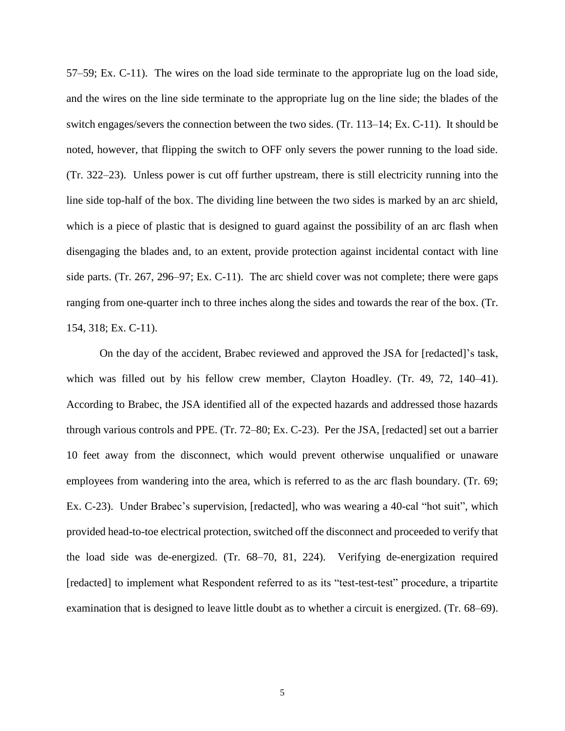57–59; Ex. C-11). The wires on the load side terminate to the appropriate lug on the load side, and the wires on the line side terminate to the appropriate lug on the line side; the blades of the switch engages/severs the connection between the two sides. (Tr. 113–14; Ex. C-11). It should be noted, however, that flipping the switch to OFF only severs the power running to the load side. (Tr. 322–23). Unless power is cut off further upstream, there is still electricity running into the line side top-half of the box. The dividing line between the two sides is marked by an arc shield, which is a piece of plastic that is designed to guard against the possibility of an arc flash when disengaging the blades and, to an extent, provide protection against incidental contact with line side parts. (Tr. 267, 296–97; Ex. C-11). The arc shield cover was not complete; there were gaps ranging from one-quarter inch to three inches along the sides and towards the rear of the box. (Tr. 154, 318; Ex. C-11).

On the day of the accident, Brabec reviewed and approved the JSA for [redacted]'s task, which was filled out by his fellow crew member, Clayton Hoadley. (Tr. 49, 72, 140–41). According to Brabec, the JSA identified all of the expected hazards and addressed those hazards through various controls and PPE. (Tr. 72–80; Ex. C-23). Per the JSA, [redacted] set out a barrier 10 feet away from the disconnect, which would prevent otherwise unqualified or unaware employees from wandering into the area, which is referred to as the arc flash boundary. (Tr. 69; Ex. C-23). Under Brabec's supervision, [redacted], who was wearing a 40-cal "hot suit", which provided head-to-toe electrical protection, switched off the disconnect and proceeded to verify that the load side was de-energized. (Tr. 68–70, 81, 224). Verifying de-energization required [redacted] to implement what Respondent referred to as its "test-test-test" procedure, a tripartite examination that is designed to leave little doubt as to whether a circuit is energized. (Tr. 68–69).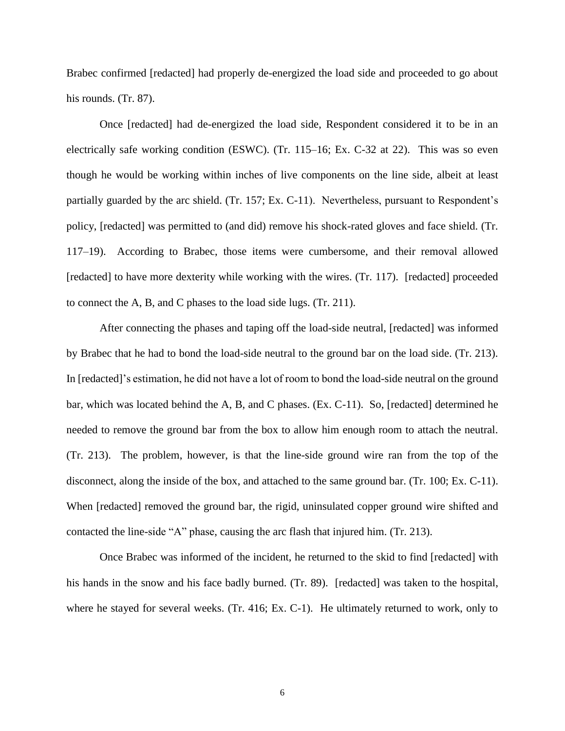Brabec confirmed [redacted] had properly de-energized the load side and proceeded to go about his rounds. (Tr. 87).

Once [redacted] had de-energized the load side, Respondent considered it to be in an electrically safe working condition (ESWC). (Tr. 115–16; Ex. C-32 at 22). This was so even though he would be working within inches of live components on the line side, albeit at least partially guarded by the arc shield. (Tr. 157; Ex. C-11). Nevertheless, pursuant to Respondent's policy, [redacted] was permitted to (and did) remove his shock-rated gloves and face shield. (Tr. 117–19). According to Brabec, those items were cumbersome, and their removal allowed [redacted] to have more dexterity while working with the wires. (Tr. 117). [redacted] proceeded to connect the A, B, and C phases to the load side lugs. (Tr. 211).

After connecting the phases and taping off the load-side neutral, [redacted] was informed by Brabec that he had to bond the load-side neutral to the ground bar on the load side. (Tr. 213). In [redacted]'s estimation, he did not have a lot of room to bond the load-side neutral on the ground bar, which was located behind the A, B, and C phases. (Ex. C-11). So, [redacted] determined he needed to remove the ground bar from the box to allow him enough room to attach the neutral. (Tr. 213). The problem, however, is that the line-side ground wire ran from the top of the disconnect, along the inside of the box, and attached to the same ground bar. (Tr. 100; Ex. C-11). When [redacted] removed the ground bar, the rigid, uninsulated copper ground wire shifted and contacted the line-side "A" phase, causing the arc flash that injured him. (Tr. 213).

Once Brabec was informed of the incident, he returned to the skid to find [redacted] with his hands in the snow and his face badly burned. (Tr. 89). [redacted] was taken to the hospital, where he stayed for several weeks. (Tr. 416; Ex. C-1). He ultimately returned to work, only to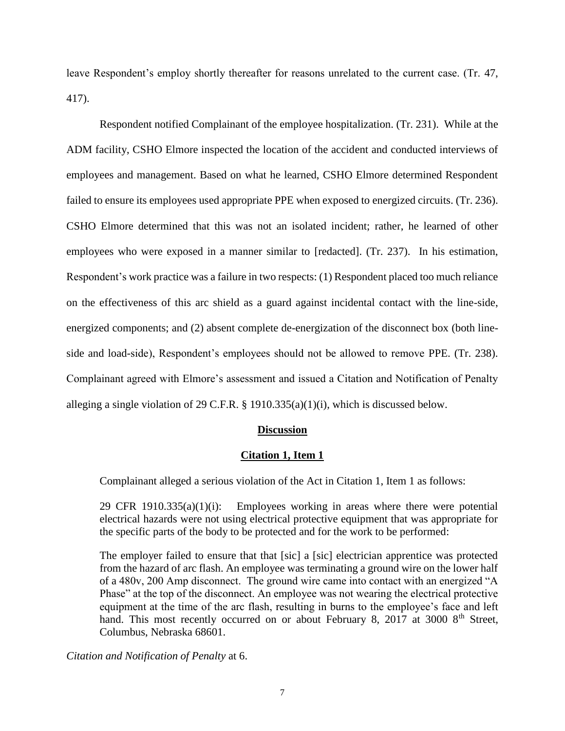leave Respondent's employ shortly thereafter for reasons unrelated to the current case. (Tr. 47, 417).

Respondent notified Complainant of the employee hospitalization. (Tr. 231). While at the ADM facility, CSHO Elmore inspected the location of the accident and conducted interviews of employees and management. Based on what he learned, CSHO Elmore determined Respondent failed to ensure its employees used appropriate PPE when exposed to energized circuits. (Tr. 236). CSHO Elmore determined that this was not an isolated incident; rather, he learned of other employees who were exposed in a manner similar to [redacted]. (Tr. 237). In his estimation, Respondent's work practice was a failure in two respects: (1) Respondent placed too much reliance on the effectiveness of this arc shield as a guard against incidental contact with the line-side, energized components; and (2) absent complete de-energization of the disconnect box (both lineside and load-side), Respondent's employees should not be allowed to remove PPE. (Tr. 238). Complainant agreed with Elmore's assessment and issued a Citation and Notification of Penalty alleging a single violation of 29 C.F.R. § 1910.335(a)(1)(i), which is discussed below.

# **Discussion**

# **Citation 1, Item 1**

Complainant alleged a serious violation of the Act in Citation 1, Item 1 as follows:

29 CFR 1910.335(a)(1)(i): Employees working in areas where there were potential electrical hazards were not using electrical protective equipment that was appropriate for the specific parts of the body to be protected and for the work to be performed:

The employer failed to ensure that that [sic] a [sic] electrician apprentice was protected from the hazard of arc flash. An employee was terminating a ground wire on the lower half of a 480v, 200 Amp disconnect. The ground wire came into contact with an energized "A Phase" at the top of the disconnect. An employee was not wearing the electrical protective equipment at the time of the arc flash, resulting in burns to the employee's face and left hand. This most recently occurred on or about February 8, 2017 at 3000  $8<sup>th</sup>$  Street, Columbus, Nebraska 68601.

*Citation and Notification of Penalty* at 6.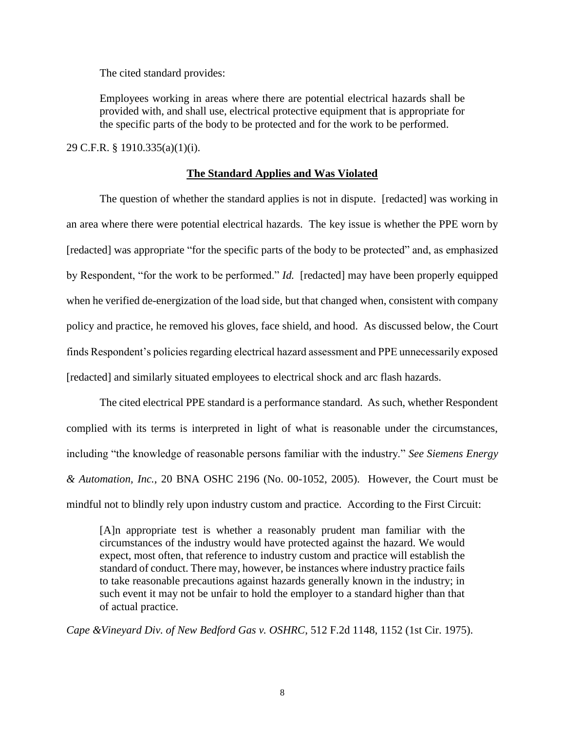The cited standard provides:

Employees working in areas where there are potential electrical hazards shall be provided with, and shall use, electrical protective equipment that is appropriate for the specific parts of the body to be protected and for the work to be performed.

29 C.F.R. § 1910.335(a)(1)(i).

### **The Standard Applies and Was Violated**

The question of whether the standard applies is not in dispute. [redacted] was working in an area where there were potential electrical hazards. The key issue is whether the PPE worn by [redacted] was appropriate "for the specific parts of the body to be protected" and, as emphasized by Respondent, "for the work to be performed." *Id.* [redacted] may have been properly equipped when he verified de-energization of the load side, but that changed when, consistent with company policy and practice, he removed his gloves, face shield, and hood. As discussed below, the Court finds Respondent's policies regarding electrical hazard assessment and PPE unnecessarily exposed [redacted] and similarly situated employees to electrical shock and arc flash hazards.

The cited electrical PPE standard is a performance standard. As such, whether Respondent complied with its terms is interpreted in light of what is reasonable under the circumstances, including "the knowledge of reasonable persons familiar with the industry." *See Siemens Energy & Automation, Inc.*, 20 BNA OSHC 2196 (No. 00-1052, 2005). However, the Court must be mindful not to blindly rely upon industry custom and practice. According to the First Circuit:

[A]n appropriate test is whether a reasonably prudent man familiar with the circumstances of the industry would have protected against the hazard. We would expect, most often, that reference to industry custom and practice will establish the standard of conduct. There may, however, be instances where industry practice fails to take reasonable precautions against hazards generally known in the industry; in such event it may not be unfair to hold the employer to a standard higher than that of actual practice.

*Cape &Vineyard Div. of New Bedford Gas v. OSHRC*, 512 F.2d 1148, 1152 (1st Cir. 1975).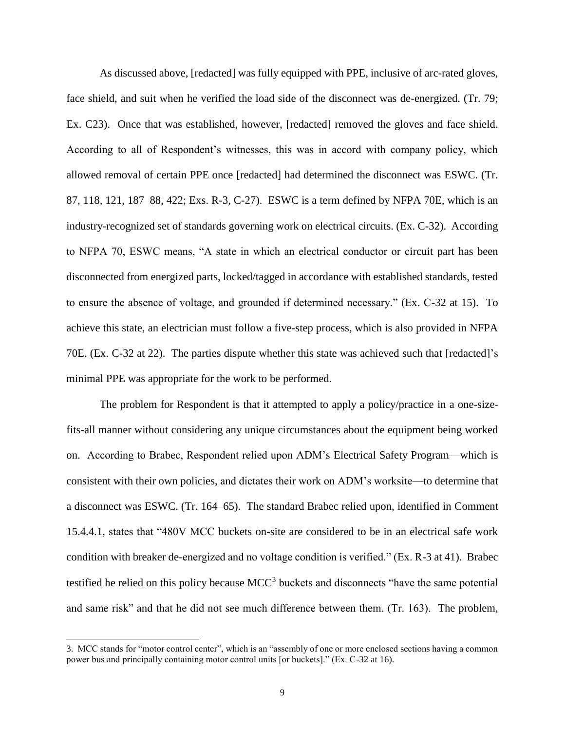As discussed above, [redacted] was fully equipped with PPE, inclusive of arc-rated gloves, face shield, and suit when he verified the load side of the disconnect was de-energized. (Tr. 79; Ex. C23). Once that was established, however, [redacted] removed the gloves and face shield. According to all of Respondent's witnesses, this was in accord with company policy, which allowed removal of certain PPE once [redacted] had determined the disconnect was ESWC. (Tr. 87, 118, 121, 187–88, 422; Exs. R-3, C-27). ESWC is a term defined by NFPA 70E, which is an industry-recognized set of standards governing work on electrical circuits. (Ex. C-32). According to NFPA 70, ESWC means, "A state in which an electrical conductor or circuit part has been disconnected from energized parts, locked/tagged in accordance with established standards, tested to ensure the absence of voltage, and grounded if determined necessary." (Ex. C-32 at 15). To achieve this state, an electrician must follow a five-step process, which is also provided in NFPA 70E. (Ex. C-32 at 22). The parties dispute whether this state was achieved such that [redacted]'s minimal PPE was appropriate for the work to be performed.

The problem for Respondent is that it attempted to apply a policy/practice in a one-sizefits-all manner without considering any unique circumstances about the equipment being worked on. According to Brabec, Respondent relied upon ADM's Electrical Safety Program—which is consistent with their own policies, and dictates their work on ADM's worksite—to determine that a disconnect was ESWC. (Tr. 164–65). The standard Brabec relied upon, identified in Comment 15.4.4.1, states that "480V MCC buckets on-site are considered to be in an electrical safe work condition with breaker de-energized and no voltage condition is verified." (Ex. R-3 at 41). Brabec testified he relied on this policy because  $MCC<sup>3</sup>$  buckets and disconnects "have the same potential and same risk" and that he did not see much difference between them. (Tr. 163). The problem,

 $\overline{\phantom{a}}$ 

<sup>3.</sup> MCC stands for "motor control center", which is an "assembly of one or more enclosed sections having a common power bus and principally containing motor control units [or buckets]." (Ex. C-32 at 16).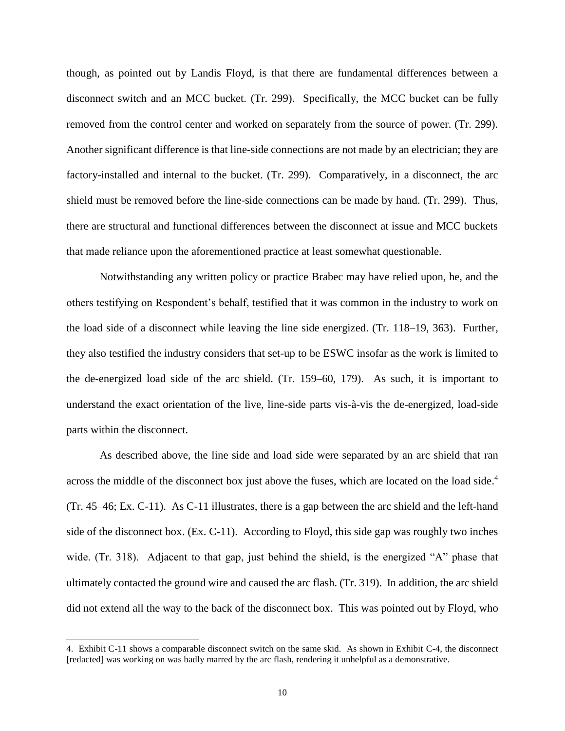though, as pointed out by Landis Floyd, is that there are fundamental differences between a disconnect switch and an MCC bucket. (Tr. 299). Specifically, the MCC bucket can be fully removed from the control center and worked on separately from the source of power. (Tr. 299). Another significant difference is that line-side connections are not made by an electrician; they are factory-installed and internal to the bucket. (Tr. 299). Comparatively, in a disconnect, the arc shield must be removed before the line-side connections can be made by hand. (Tr. 299). Thus, there are structural and functional differences between the disconnect at issue and MCC buckets that made reliance upon the aforementioned practice at least somewhat questionable.

Notwithstanding any written policy or practice Brabec may have relied upon, he, and the others testifying on Respondent's behalf, testified that it was common in the industry to work on the load side of a disconnect while leaving the line side energized. (Tr. 118–19, 363). Further, they also testified the industry considers that set-up to be ESWC insofar as the work is limited to the de-energized load side of the arc shield. (Tr. 159–60, 179). As such, it is important to understand the exact orientation of the live, line-side parts vis-à-vis the de-energized, load-side parts within the disconnect.

As described above, the line side and load side were separated by an arc shield that ran across the middle of the disconnect box just above the fuses, which are located on the load side.<sup>4</sup> (Tr. 45–46; Ex. C-11). As C-11 illustrates, there is a gap between the arc shield and the left-hand side of the disconnect box. (Ex. C-11). According to Floyd, this side gap was roughly two inches wide. (Tr. 318). Adjacent to that gap, just behind the shield, is the energized "A" phase that ultimately contacted the ground wire and caused the arc flash. (Tr. 319). In addition, the arc shield did not extend all the way to the back of the disconnect box. This was pointed out by Floyd, who

 $\overline{\phantom{a}}$ 

<sup>4.</sup> Exhibit C-11 shows a comparable disconnect switch on the same skid. As shown in Exhibit C-4, the disconnect [redacted] was working on was badly marred by the arc flash, rendering it unhelpful as a demonstrative.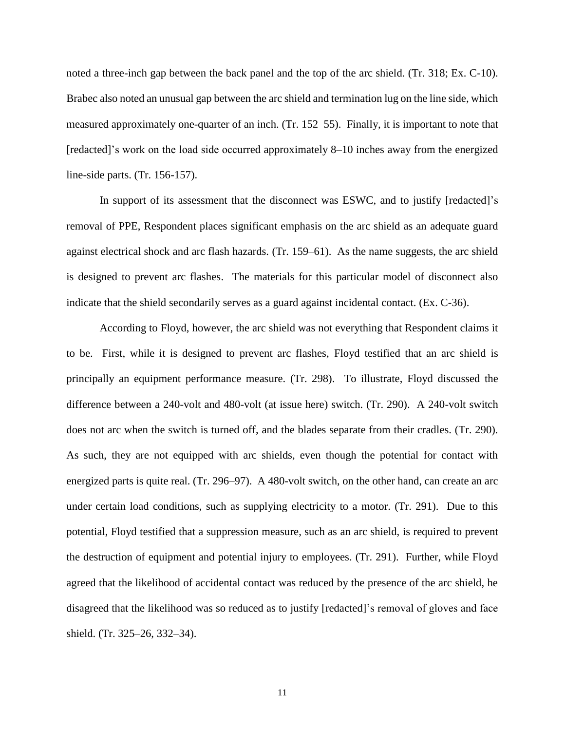noted a three-inch gap between the back panel and the top of the arc shield. (Tr. 318; Ex. C-10). Brabec also noted an unusual gap between the arc shield and termination lug on the line side, which measured approximately one-quarter of an inch. (Tr. 152–55). Finally, it is important to note that [redacted]'s work on the load side occurred approximately 8–10 inches away from the energized line-side parts. (Tr. 156-157).

In support of its assessment that the disconnect was ESWC, and to justify [redacted]'s removal of PPE, Respondent places significant emphasis on the arc shield as an adequate guard against electrical shock and arc flash hazards. (Tr. 159–61). As the name suggests, the arc shield is designed to prevent arc flashes. The materials for this particular model of disconnect also indicate that the shield secondarily serves as a guard against incidental contact. (Ex. C-36).

According to Floyd, however, the arc shield was not everything that Respondent claims it to be. First, while it is designed to prevent arc flashes, Floyd testified that an arc shield is principally an equipment performance measure. (Tr. 298). To illustrate, Floyd discussed the difference between a 240-volt and 480-volt (at issue here) switch. (Tr. 290). A 240-volt switch does not arc when the switch is turned off, and the blades separate from their cradles. (Tr. 290). As such, they are not equipped with arc shields, even though the potential for contact with energized parts is quite real. (Tr. 296–97). A 480-volt switch, on the other hand, can create an arc under certain load conditions, such as supplying electricity to a motor. (Tr. 291). Due to this potential, Floyd testified that a suppression measure, such as an arc shield, is required to prevent the destruction of equipment and potential injury to employees. (Tr. 291). Further, while Floyd agreed that the likelihood of accidental contact was reduced by the presence of the arc shield, he disagreed that the likelihood was so reduced as to justify [redacted]'s removal of gloves and face shield. (Tr. 325–26, 332–34).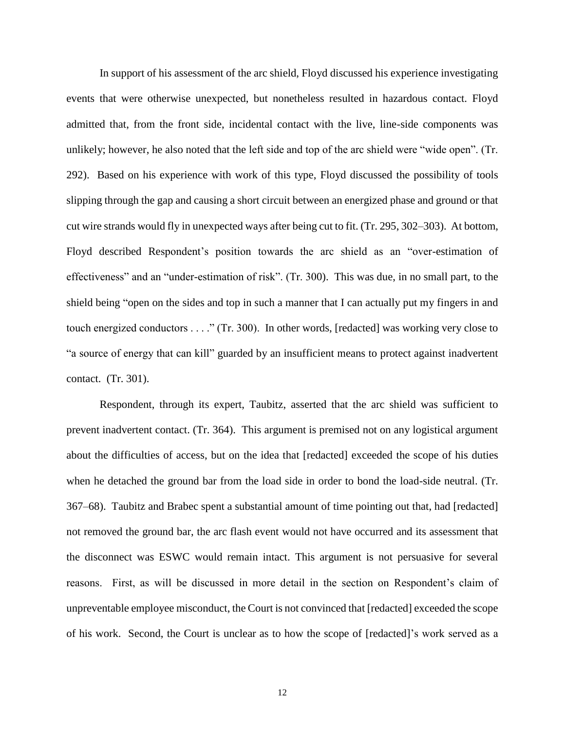In support of his assessment of the arc shield, Floyd discussed his experience investigating events that were otherwise unexpected, but nonetheless resulted in hazardous contact. Floyd admitted that, from the front side, incidental contact with the live, line-side components was unlikely; however, he also noted that the left side and top of the arc shield were "wide open". (Tr. 292). Based on his experience with work of this type, Floyd discussed the possibility of tools slipping through the gap and causing a short circuit between an energized phase and ground or that cut wire strands would fly in unexpected ways after being cut to fit. (Tr. 295, 302–303). At bottom, Floyd described Respondent's position towards the arc shield as an "over-estimation of effectiveness" and an "under-estimation of risk". (Tr. 300). This was due, in no small part, to the shield being "open on the sides and top in such a manner that I can actually put my fingers in and touch energized conductors . . . ." (Tr. 300). In other words, [redacted] was working very close to "a source of energy that can kill" guarded by an insufficient means to protect against inadvertent contact. (Tr. 301).

Respondent, through its expert, Taubitz, asserted that the arc shield was sufficient to prevent inadvertent contact. (Tr. 364). This argument is premised not on any logistical argument about the difficulties of access, but on the idea that [redacted] exceeded the scope of his duties when he detached the ground bar from the load side in order to bond the load-side neutral. (Tr. 367–68). Taubitz and Brabec spent a substantial amount of time pointing out that, had [redacted] not removed the ground bar, the arc flash event would not have occurred and its assessment that the disconnect was ESWC would remain intact. This argument is not persuasive for several reasons. First, as will be discussed in more detail in the section on Respondent's claim of unpreventable employee misconduct, the Court is not convinced that [redacted] exceeded the scope of his work. Second, the Court is unclear as to how the scope of [redacted]'s work served as a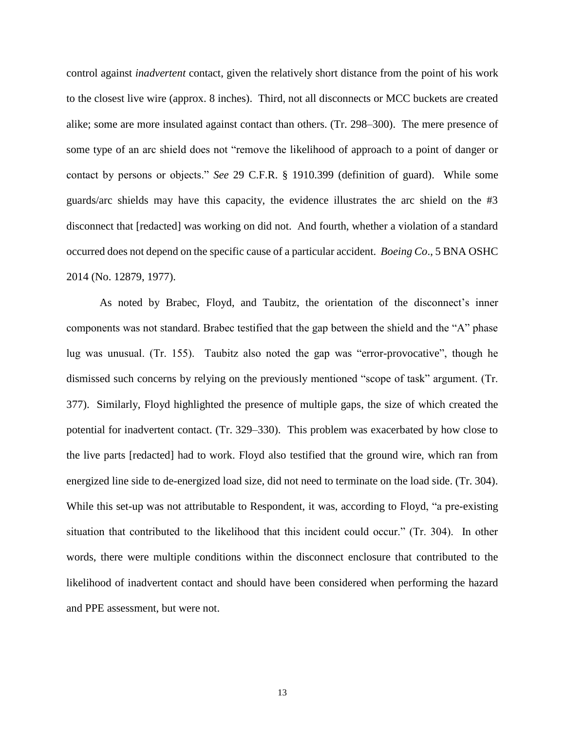control against *inadvertent* contact, given the relatively short distance from the point of his work to the closest live wire (approx. 8 inches). Third, not all disconnects or MCC buckets are created alike; some are more insulated against contact than others. (Tr. 298–300). The mere presence of some type of an arc shield does not "remove the likelihood of approach to a point of danger or contact by persons or objects." *See* 29 C.F.R. § 1910.399 (definition of guard). While some guards/arc shields may have this capacity, the evidence illustrates the arc shield on the #3 disconnect that [redacted] was working on did not. And fourth, whether a violation of a standard occurred does not depend on the specific cause of a particular accident. *Boeing Co*., 5 BNA OSHC 2014 (No. 12879, 1977).

As noted by Brabec, Floyd, and Taubitz, the orientation of the disconnect's inner components was not standard. Brabec testified that the gap between the shield and the "A" phase lug was unusual. (Tr. 155). Taubitz also noted the gap was "error-provocative", though he dismissed such concerns by relying on the previously mentioned "scope of task" argument. (Tr. 377). Similarly, Floyd highlighted the presence of multiple gaps, the size of which created the potential for inadvertent contact. (Tr. 329–330). This problem was exacerbated by how close to the live parts [redacted] had to work. Floyd also testified that the ground wire, which ran from energized line side to de-energized load size, did not need to terminate on the load side. (Tr. 304). While this set-up was not attributable to Respondent, it was, according to Floyd, "a pre-existing situation that contributed to the likelihood that this incident could occur." (Tr. 304). In other words, there were multiple conditions within the disconnect enclosure that contributed to the likelihood of inadvertent contact and should have been considered when performing the hazard and PPE assessment, but were not.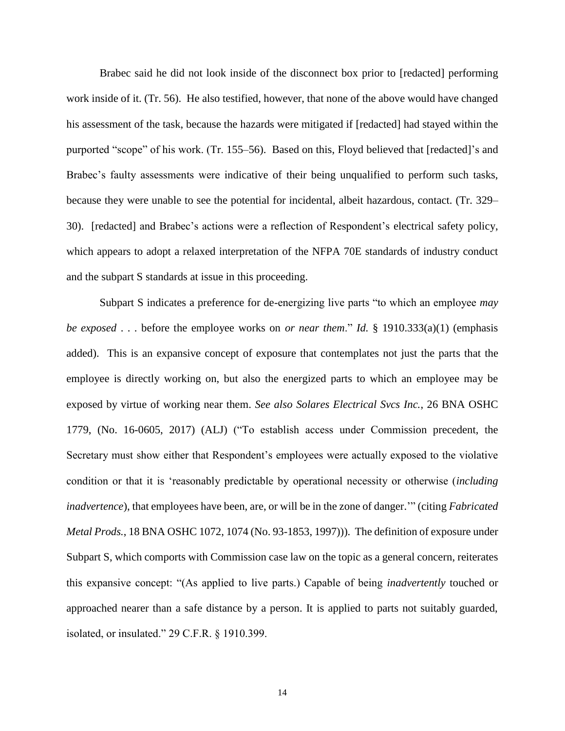Brabec said he did not look inside of the disconnect box prior to [redacted] performing work inside of it. (Tr. 56). He also testified, however, that none of the above would have changed his assessment of the task, because the hazards were mitigated if [redacted] had stayed within the purported "scope" of his work. (Tr. 155–56). Based on this, Floyd believed that [redacted]'s and Brabec's faulty assessments were indicative of their being unqualified to perform such tasks, because they were unable to see the potential for incidental, albeit hazardous, contact. (Tr. 329– 30). [redacted] and Brabec's actions were a reflection of Respondent's electrical safety policy, which appears to adopt a relaxed interpretation of the NFPA 70E standards of industry conduct and the subpart S standards at issue in this proceeding.

Subpart S indicates a preference for de-energizing live parts "to which an employee *may be exposed* . . . before the employee works on *or near them*." *Id.* § 1910.333(a)(1) (emphasis added). This is an expansive concept of exposure that contemplates not just the parts that the employee is directly working on, but also the energized parts to which an employee may be exposed by virtue of working near them. *See also Solares Electrical Svcs Inc.*, 26 BNA OSHC 1779, (No. 16-0605, 2017) (ALJ) ("To establish access under Commission precedent, the Secretary must show either that Respondent's employees were actually exposed to the violative condition or that it is 'reasonably predictable by operational necessity or otherwise (*including inadvertence*), that employees have been, are, or will be in the zone of danger.'" (citing *Fabricated Metal Prods.*, 18 BNA OSHC 1072, 1074 (No. 93-1853, 1997))). The definition of exposure under Subpart S, which comports with Commission case law on the topic as a general concern, reiterates this expansive concept: "(As applied to live parts.) Capable of being *inadvertently* touched or approached nearer than a safe distance by a person. It is applied to parts not suitably guarded, isolated, or insulated." 29 C.F.R. § 1910.399.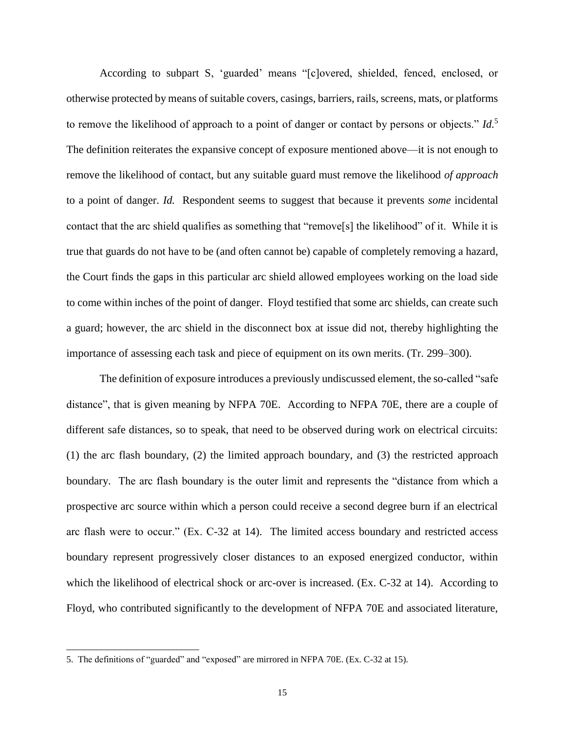According to subpart S, 'guarded' means "[c]overed, shielded, fenced, enclosed, or otherwise protected by means of suitable covers, casings, barriers, rails, screens, mats, or platforms to remove the likelihood of approach to a point of danger or contact by persons or objects." *Id.*<sup>5</sup> The definition reiterates the expansive concept of exposure mentioned above—it is not enough to remove the likelihood of contact, but any suitable guard must remove the likelihood *of approach* to a point of danger. *Id.* Respondent seems to suggest that because it prevents *some* incidental contact that the arc shield qualifies as something that "remove[s] the likelihood" of it. While it is true that guards do not have to be (and often cannot be) capable of completely removing a hazard, the Court finds the gaps in this particular arc shield allowed employees working on the load side to come within inches of the point of danger. Floyd testified that some arc shields, can create such a guard; however, the arc shield in the disconnect box at issue did not, thereby highlighting the importance of assessing each task and piece of equipment on its own merits. (Tr. 299–300).

The definition of exposure introduces a previously undiscussed element, the so-called "safe distance", that is given meaning by NFPA 70E. According to NFPA 70E, there are a couple of different safe distances, so to speak, that need to be observed during work on electrical circuits: (1) the arc flash boundary, (2) the limited approach boundary, and (3) the restricted approach boundary. The arc flash boundary is the outer limit and represents the "distance from which a prospective arc source within which a person could receive a second degree burn if an electrical arc flash were to occur." (Ex. C-32 at 14). The limited access boundary and restricted access boundary represent progressively closer distances to an exposed energized conductor, within which the likelihood of electrical shock or arc-over is increased. (Ex. C-32 at 14). According to Floyd, who contributed significantly to the development of NFPA 70E and associated literature,

 $\overline{\phantom{a}}$ 

<sup>5.</sup> The definitions of "guarded" and "exposed" are mirrored in NFPA 70E. (Ex. C-32 at 15).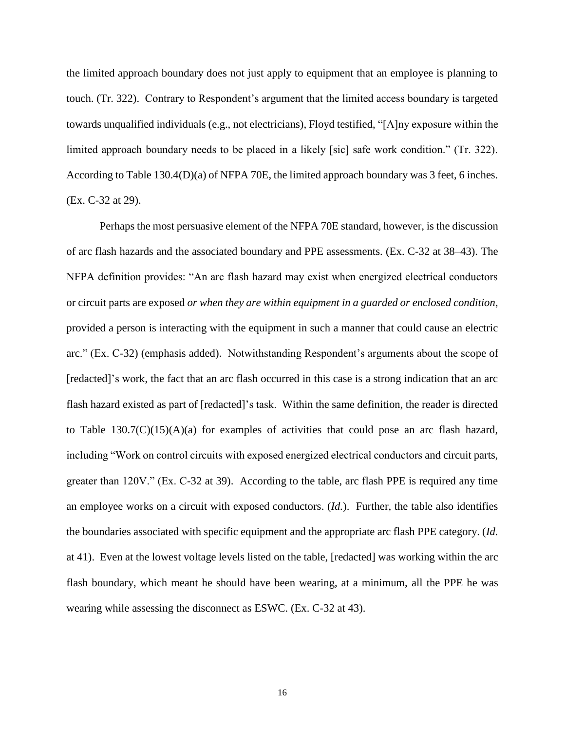the limited approach boundary does not just apply to equipment that an employee is planning to touch. (Tr. 322). Contrary to Respondent's argument that the limited access boundary is targeted towards unqualified individuals (e.g., not electricians), Floyd testified, "[A]ny exposure within the limited approach boundary needs to be placed in a likely [sic] safe work condition." (Tr. 322). According to Table 130.4(D)(a) of NFPA 70E, the limited approach boundary was 3 feet, 6 inches. (Ex. C-32 at 29).

Perhaps the most persuasive element of the NFPA 70E standard, however, is the discussion of arc flash hazards and the associated boundary and PPE assessments. (Ex. C-32 at 38–43). The NFPA definition provides: "An arc flash hazard may exist when energized electrical conductors or circuit parts are exposed *or when they are within equipment in a guarded or enclosed condition*, provided a person is interacting with the equipment in such a manner that could cause an electric arc." (Ex. C-32) (emphasis added). Notwithstanding Respondent's arguments about the scope of [redacted]'s work, the fact that an arc flash occurred in this case is a strong indication that an arc flash hazard existed as part of [redacted]'s task. Within the same definition, the reader is directed to Table  $130.7(C)(15)(A)(a)$  for examples of activities that could pose an arc flash hazard, including "Work on control circuits with exposed energized electrical conductors and circuit parts, greater than 120V." (Ex. C-32 at 39). According to the table, arc flash PPE is required any time an employee works on a circuit with exposed conductors. (*Id.*). Further, the table also identifies the boundaries associated with specific equipment and the appropriate arc flash PPE category. (*Id.* at 41). Even at the lowest voltage levels listed on the table, [redacted] was working within the arc flash boundary, which meant he should have been wearing, at a minimum, all the PPE he was wearing while assessing the disconnect as ESWC. (Ex. C-32 at 43).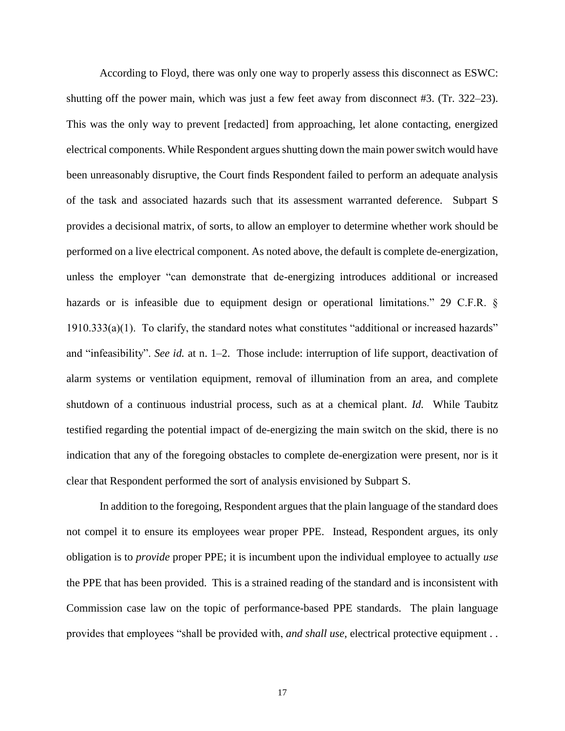According to Floyd, there was only one way to properly assess this disconnect as ESWC: shutting off the power main, which was just a few feet away from disconnect #3. (Tr. 322–23). This was the only way to prevent [redacted] from approaching, let alone contacting, energized electrical components. While Respondent argues shutting down the main power switch would have been unreasonably disruptive, the Court finds Respondent failed to perform an adequate analysis of the task and associated hazards such that its assessment warranted deference. Subpart S provides a decisional matrix, of sorts, to allow an employer to determine whether work should be performed on a live electrical component. As noted above, the default is complete de-energization, unless the employer "can demonstrate that de-energizing introduces additional or increased hazards or is infeasible due to equipment design or operational limitations." 29 C.F.R. § 1910.333(a)(1). To clarify, the standard notes what constitutes "additional or increased hazards" and "infeasibility". *See id.* at n. 1–2. Those include: interruption of life support, deactivation of alarm systems or ventilation equipment, removal of illumination from an area, and complete shutdown of a continuous industrial process, such as at a chemical plant. *Id.* While Taubitz testified regarding the potential impact of de-energizing the main switch on the skid, there is no indication that any of the foregoing obstacles to complete de-energization were present, nor is it clear that Respondent performed the sort of analysis envisioned by Subpart S.

In addition to the foregoing, Respondent argues that the plain language of the standard does not compel it to ensure its employees wear proper PPE. Instead, Respondent argues, its only obligation is to *provide* proper PPE; it is incumbent upon the individual employee to actually *use* the PPE that has been provided. This is a strained reading of the standard and is inconsistent with Commission case law on the topic of performance-based PPE standards. The plain language provides that employees "shall be provided with, *and shall use*, electrical protective equipment . .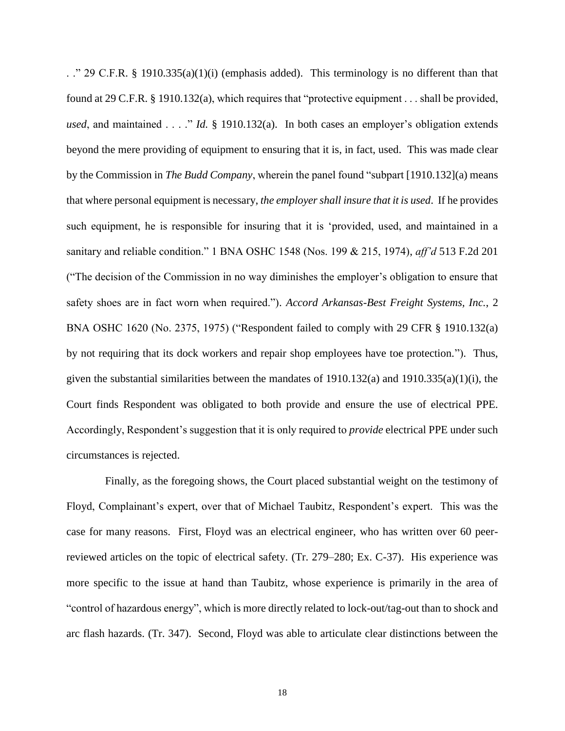. ." 29 C.F.R. § 1910.335(a)(1)(i) (emphasis added). This terminology is no different than that found at 29 C.F.R. § 1910.132(a), which requires that "protective equipment . . . shall be provided, *used*, and maintained . . . ." *Id.* § 1910.132(a). In both cases an employer's obligation extends beyond the mere providing of equipment to ensuring that it is, in fact, used. This was made clear by the Commission in *The Budd Company*, wherein the panel found "subpart [1910.132](a) means that where personal equipment is necessary, *the employer shall insure that it is used*. If he provides such equipment, he is responsible for insuring that it is 'provided, used, and maintained in a sanitary and reliable condition." 1 BNA OSHC 1548 (Nos. 199 & 215, 1974), *aff'd* 513 F.2d 201 ("The decision of the Commission in no way diminishes the employer's obligation to ensure that safety shoes are in fact worn when required."). *Accord Arkansas-Best Freight Systems, Inc.*, 2 BNA OSHC 1620 (No. 2375, 1975) ("Respondent failed to comply with 29 CFR § 1910.132(a) by not requiring that its dock workers and repair shop employees have toe protection."). Thus, given the substantial similarities between the mandates of  $1910.132(a)$  and  $1910.335(a)(1)(i)$ , the Court finds Respondent was obligated to both provide and ensure the use of electrical PPE. Accordingly, Respondent's suggestion that it is only required to *provide* electrical PPE under such circumstances is rejected.

 Finally, as the foregoing shows, the Court placed substantial weight on the testimony of Floyd, Complainant's expert, over that of Michael Taubitz, Respondent's expert. This was the case for many reasons. First, Floyd was an electrical engineer, who has written over 60 peerreviewed articles on the topic of electrical safety. (Tr. 279–280; Ex. C-37). His experience was more specific to the issue at hand than Taubitz, whose experience is primarily in the area of "control of hazardous energy", which is more directly related to lock-out/tag-out than to shock and arc flash hazards. (Tr. 347). Second, Floyd was able to articulate clear distinctions between the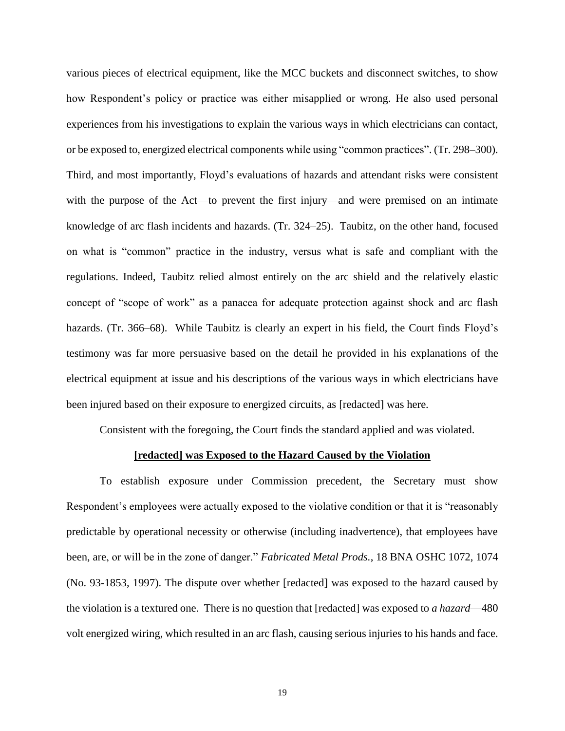various pieces of electrical equipment, like the MCC buckets and disconnect switches, to show how Respondent's policy or practice was either misapplied or wrong. He also used personal experiences from his investigations to explain the various ways in which electricians can contact, or be exposed to, energized electrical components while using "common practices". (Tr. 298–300). Third, and most importantly, Floyd's evaluations of hazards and attendant risks were consistent with the purpose of the Act—to prevent the first injury—and were premised on an intimate knowledge of arc flash incidents and hazards. (Tr. 324–25). Taubitz, on the other hand, focused on what is "common" practice in the industry, versus what is safe and compliant with the regulations. Indeed, Taubitz relied almost entirely on the arc shield and the relatively elastic concept of "scope of work" as a panacea for adequate protection against shock and arc flash hazards. (Tr. 366–68). While Taubitz is clearly an expert in his field, the Court finds Floyd's testimony was far more persuasive based on the detail he provided in his explanations of the electrical equipment at issue and his descriptions of the various ways in which electricians have been injured based on their exposure to energized circuits, as [redacted] was here.

Consistent with the foregoing, the Court finds the standard applied and was violated.

#### **[redacted] was Exposed to the Hazard Caused by the Violation**

To establish exposure under Commission precedent, the Secretary must show Respondent's employees were actually exposed to the violative condition or that it is "reasonably predictable by operational necessity or otherwise (including inadvertence), that employees have been, are, or will be in the zone of danger." *Fabricated Metal Prods.*, 18 BNA OSHC 1072, 1074 (No. 93-1853, 1997). The dispute over whether [redacted] was exposed to the hazard caused by the violation is a textured one. There is no question that [redacted] was exposed to *a hazard*—480 volt energized wiring, which resulted in an arc flash, causing serious injuries to his hands and face.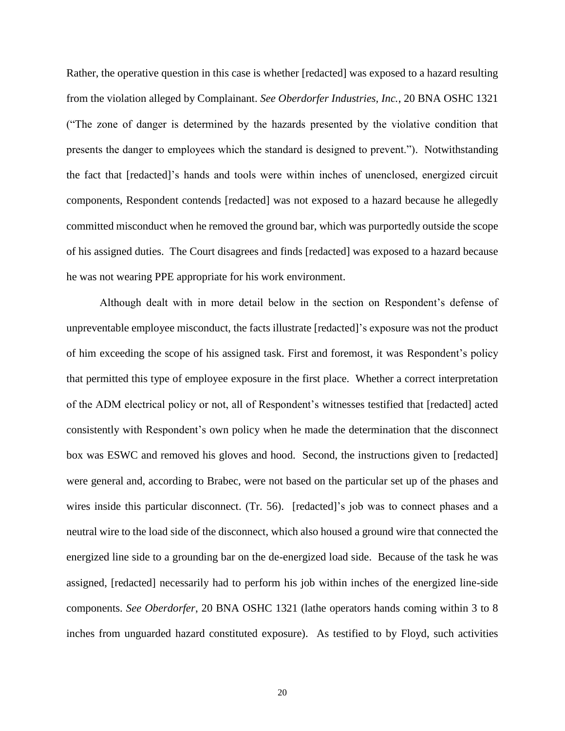Rather, the operative question in this case is whether [redacted] was exposed to a hazard resulting from the violation alleged by Complainant. *See Oberdorfer Industries, Inc.*, 20 BNA OSHC 1321 ("The zone of danger is determined by the hazards presented by the violative condition that presents the danger to employees which the standard is designed to prevent."). Notwithstanding the fact that [redacted]'s hands and tools were within inches of unenclosed, energized circuit components, Respondent contends [redacted] was not exposed to a hazard because he allegedly committed misconduct when he removed the ground bar, which was purportedly outside the scope of his assigned duties. The Court disagrees and finds [redacted] was exposed to a hazard because he was not wearing PPE appropriate for his work environment.

Although dealt with in more detail below in the section on Respondent's defense of unpreventable employee misconduct, the facts illustrate [redacted]'s exposure was not the product of him exceeding the scope of his assigned task. First and foremost, it was Respondent's policy that permitted this type of employee exposure in the first place. Whether a correct interpretation of the ADM electrical policy or not, all of Respondent's witnesses testified that [redacted] acted consistently with Respondent's own policy when he made the determination that the disconnect box was ESWC and removed his gloves and hood. Second, the instructions given to [redacted] were general and, according to Brabec, were not based on the particular set up of the phases and wires inside this particular disconnect. (Tr. 56). [redacted]'s job was to connect phases and a neutral wire to the load side of the disconnect, which also housed a ground wire that connected the energized line side to a grounding bar on the de-energized load side. Because of the task he was assigned, [redacted] necessarily had to perform his job within inches of the energized line-side components. *See Oberdorfer*, 20 BNA OSHC 1321 (lathe operators hands coming within 3 to 8 inches from unguarded hazard constituted exposure). As testified to by Floyd, such activities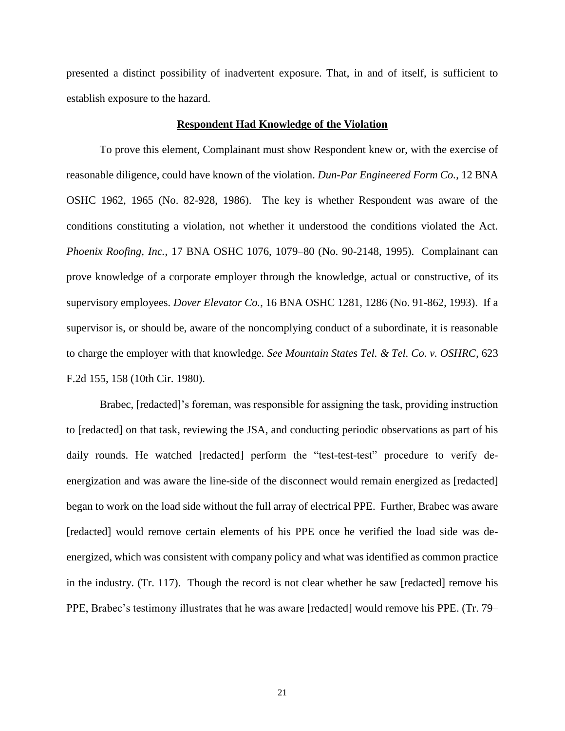presented a distinct possibility of inadvertent exposure. That, in and of itself, is sufficient to establish exposure to the hazard.

#### **Respondent Had Knowledge of the Violation**

To prove this element, Complainant must show Respondent knew or, with the exercise of reasonable diligence, could have known of the violation. *Dun-Par Engineered Form Co.*, 12 BNA OSHC 1962, 1965 (No. 82-928, 1986). The key is whether Respondent was aware of the conditions constituting a violation, not whether it understood the conditions violated the Act. *Phoenix Roofing, Inc.*, 17 BNA OSHC 1076, 1079–80 (No. 90-2148, 1995). Complainant can prove knowledge of a corporate employer through the knowledge, actual or constructive, of its supervisory employees. *Dover Elevator Co.*, 16 BNA OSHC 1281, 1286 (No. 91-862, 1993). If a supervisor is, or should be, aware of the noncomplying conduct of a subordinate, it is reasonable to charge the employer with that knowledge. *See Mountain States Tel. & Tel. Co. v. OSHRC*, 623 F.2d 155, 158 (10th Cir. 1980).

Brabec, [redacted]'s foreman, was responsible for assigning the task, providing instruction to [redacted] on that task, reviewing the JSA, and conducting periodic observations as part of his daily rounds. He watched [redacted] perform the "test-test-test" procedure to verify deenergization and was aware the line-side of the disconnect would remain energized as [redacted] began to work on the load side without the full array of electrical PPE. Further, Brabec was aware [redacted] would remove certain elements of his PPE once he verified the load side was deenergized, which was consistent with company policy and what was identified as common practice in the industry. (Tr. 117). Though the record is not clear whether he saw [redacted] remove his PPE, Brabec's testimony illustrates that he was aware [redacted] would remove his PPE. (Tr. 79–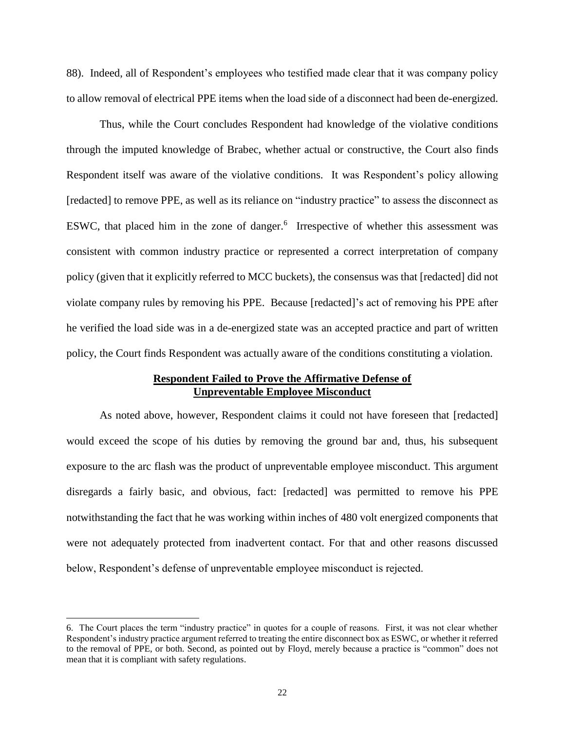88). Indeed, all of Respondent's employees who testified made clear that it was company policy to allow removal of electrical PPE items when the load side of a disconnect had been de-energized.

Thus, while the Court concludes Respondent had knowledge of the violative conditions through the imputed knowledge of Brabec, whether actual or constructive, the Court also finds Respondent itself was aware of the violative conditions. It was Respondent's policy allowing [redacted] to remove PPE, as well as its reliance on "industry practice" to assess the disconnect as ESWC, that placed him in the zone of danger.<sup>6</sup> Irrespective of whether this assessment was consistent with common industry practice or represented a correct interpretation of company policy (given that it explicitly referred to MCC buckets), the consensus was that [redacted] did not violate company rules by removing his PPE. Because [redacted]'s act of removing his PPE after he verified the load side was in a de-energized state was an accepted practice and part of written policy, the Court finds Respondent was actually aware of the conditions constituting a violation.

### **Respondent Failed to Prove the Affirmative Defense of Unpreventable Employee Misconduct**

As noted above, however, Respondent claims it could not have foreseen that [redacted] would exceed the scope of his duties by removing the ground bar and, thus, his subsequent exposure to the arc flash was the product of unpreventable employee misconduct. This argument disregards a fairly basic, and obvious, fact: [redacted] was permitted to remove his PPE notwithstanding the fact that he was working within inches of 480 volt energized components that were not adequately protected from inadvertent contact. For that and other reasons discussed below, Respondent's defense of unpreventable employee misconduct is rejected.

 $\overline{\phantom{a}}$ 

<sup>6.</sup> The Court places the term "industry practice" in quotes for a couple of reasons. First, it was not clear whether Respondent's industry practice argument referred to treating the entire disconnect box as ESWC, or whether it referred to the removal of PPE, or both. Second, as pointed out by Floyd, merely because a practice is "common" does not mean that it is compliant with safety regulations.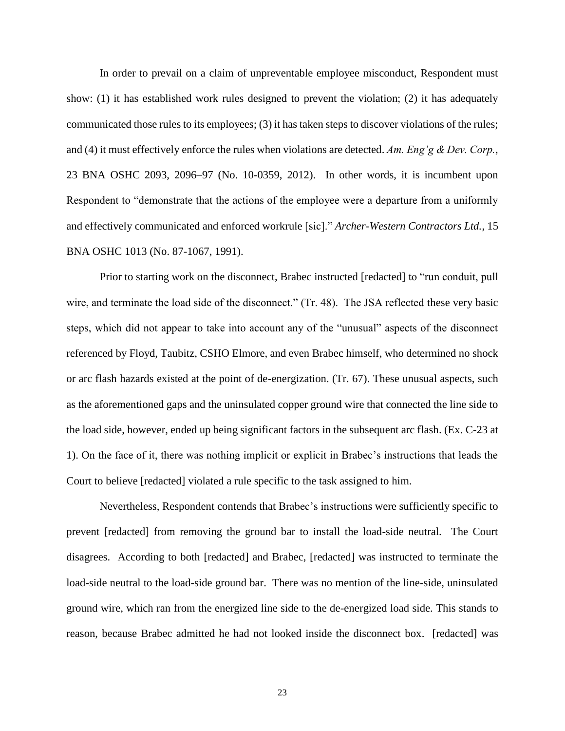In order to prevail on a claim of unpreventable employee misconduct, Respondent must show: (1) it has established work rules designed to prevent the violation; (2) it has adequately communicated those rules to its employees; (3) it has taken steps to discover violations of the rules; and (4) it must effectively enforce the rules when violations are detected. *Am. Eng'g & Dev. Corp.*, 23 BNA OSHC 2093, 2096–97 (No. 10-0359, 2012). In other words, it is incumbent upon Respondent to "demonstrate that the actions of the employee were a departure from a uniformly and effectively communicated and enforced workrule [sic]." *Archer-Western Contractors Ltd.*, 15 BNA OSHC 1013 (No. 87-1067, 1991).

Prior to starting work on the disconnect, Brabec instructed [redacted] to "run conduit, pull wire, and terminate the load side of the disconnect." (Tr. 48). The JSA reflected these very basic steps, which did not appear to take into account any of the "unusual" aspects of the disconnect referenced by Floyd, Taubitz, CSHO Elmore, and even Brabec himself, who determined no shock or arc flash hazards existed at the point of de-energization. (Tr. 67). These unusual aspects, such as the aforementioned gaps and the uninsulated copper ground wire that connected the line side to the load side, however, ended up being significant factors in the subsequent arc flash. (Ex. C-23 at 1). On the face of it, there was nothing implicit or explicit in Brabec's instructions that leads the Court to believe [redacted] violated a rule specific to the task assigned to him.

Nevertheless, Respondent contends that Brabec's instructions were sufficiently specific to prevent [redacted] from removing the ground bar to install the load-side neutral. The Court disagrees. According to both [redacted] and Brabec, [redacted] was instructed to terminate the load-side neutral to the load-side ground bar. There was no mention of the line-side, uninsulated ground wire, which ran from the energized line side to the de-energized load side. This stands to reason, because Brabec admitted he had not looked inside the disconnect box. [redacted] was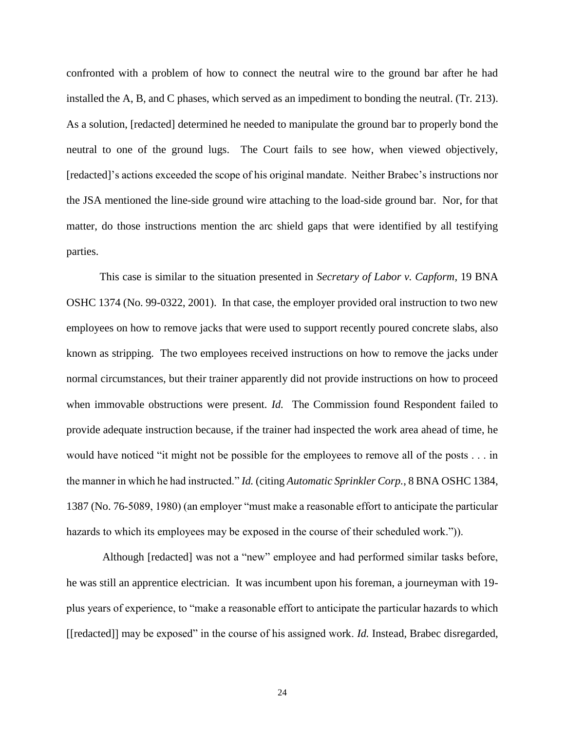confronted with a problem of how to connect the neutral wire to the ground bar after he had installed the A, B, and C phases, which served as an impediment to bonding the neutral. (Tr. 213). As a solution, [redacted] determined he needed to manipulate the ground bar to properly bond the neutral to one of the ground lugs. The Court fails to see how, when viewed objectively, [redacted]'s actions exceeded the scope of his original mandate. Neither Brabec's instructions nor the JSA mentioned the line-side ground wire attaching to the load-side ground bar. Nor, for that matter, do those instructions mention the arc shield gaps that were identified by all testifying parties.

This case is similar to the situation presented in *Secretary of Labor v. Capform*, 19 BNA OSHC 1374 (No. 99-0322, 2001). In that case, the employer provided oral instruction to two new employees on how to remove jacks that were used to support recently poured concrete slabs, also known as stripping. The two employees received instructions on how to remove the jacks under normal circumstances, but their trainer apparently did not provide instructions on how to proceed when immovable obstructions were present. *Id.* The Commission found Respondent failed to provide adequate instruction because, if the trainer had inspected the work area ahead of time, he would have noticed "it might not be possible for the employees to remove all of the posts . . . in the manner in which he had instructed." *Id.* (citing *Automatic Sprinkler Corp.*, 8 BNA OSHC 1384, 1387 (No. 76-5089, 1980) (an employer "must make a reasonable effort to anticipate the particular hazards to which its employees may be exposed in the course of their scheduled work.").

Although [redacted] was not a "new" employee and had performed similar tasks before, he was still an apprentice electrician. It was incumbent upon his foreman, a journeyman with 19 plus years of experience, to "make a reasonable effort to anticipate the particular hazards to which [[redacted]] may be exposed" in the course of his assigned work. *Id.* Instead, Brabec disregarded,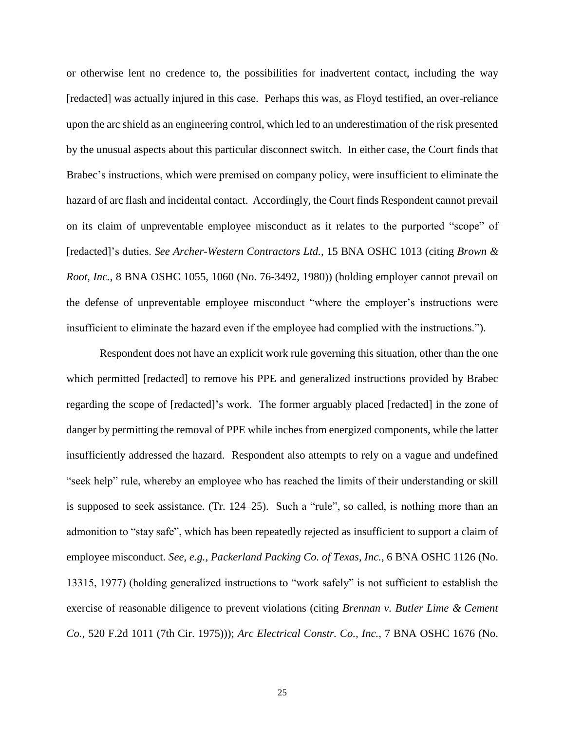or otherwise lent no credence to, the possibilities for inadvertent contact, including the way [redacted] was actually injured in this case. Perhaps this was, as Floyd testified, an over-reliance upon the arc shield as an engineering control, which led to an underestimation of the risk presented by the unusual aspects about this particular disconnect switch. In either case, the Court finds that Brabec's instructions, which were premised on company policy, were insufficient to eliminate the hazard of arc flash and incidental contact. Accordingly, the Court finds Respondent cannot prevail on its claim of unpreventable employee misconduct as it relates to the purported "scope" of [redacted]'s duties. *See Archer-Western Contractors Ltd.*, 15 BNA OSHC 1013 (citing *Brown & Root, Inc.*, 8 BNA OSHC 1055, 1060 (No. 76-3492, 1980)) (holding employer cannot prevail on the defense of unpreventable employee misconduct "where the employer's instructions were insufficient to eliminate the hazard even if the employee had complied with the instructions.").

Respondent does not have an explicit work rule governing this situation, other than the one which permitted [redacted] to remove his PPE and generalized instructions provided by Brabec regarding the scope of [redacted]'s work. The former arguably placed [redacted] in the zone of danger by permitting the removal of PPE while inches from energized components, while the latter insufficiently addressed the hazard. Respondent also attempts to rely on a vague and undefined "seek help" rule, whereby an employee who has reached the limits of their understanding or skill is supposed to seek assistance. (Tr. 124–25). Such a "rule", so called, is nothing more than an admonition to "stay safe", which has been repeatedly rejected as insufficient to support a claim of employee misconduct. *See, e.g., Packerland Packing Co. of Texas, Inc.*, 6 BNA OSHC 1126 (No. 13315, 1977) (holding generalized instructions to "work safely" is not sufficient to establish the exercise of reasonable diligence to prevent violations (citing *Brennan v. Butler Lime & Cement Co.*, 520 F.2d 1011 (7th Cir. 1975))); *Arc Electrical Constr. Co., Inc.*, 7 BNA OSHC 1676 (No.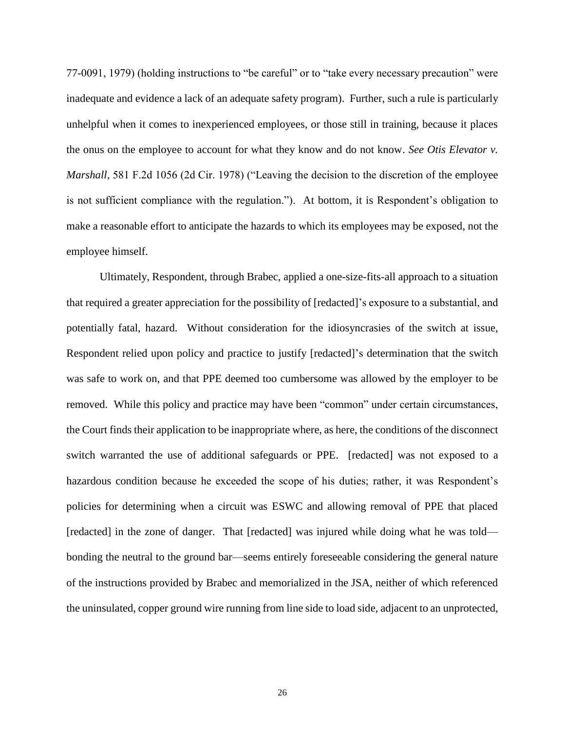77-0091, 1979) (holding instructions to "be careful" or to "take every necessary precaution" were inadequate and evidence a lack of an adequate safety program). Further, such a rule is particularly unhelpful when it comes to inexperienced employees, or those still in training, because it places the onus on the employee to account for what they know and do not know. *See Otis Elevator v. Marshall*, 581 F.2d 1056 (2d Cir. 1978) ("Leaving the decision to the discretion of the employee is not sufficient compliance with the regulation."). At bottom, it is Respondent's obligation to make a reasonable effort to anticipate the hazards to which its employees may be exposed, not the employee himself.

Ultimately, Respondent, through Brabec, applied a one-size-fits-all approach to a situation that required a greater appreciation for the possibility of [redacted]'s exposure to a substantial, and potentially fatal, hazard. Without consideration for the idiosyncrasies of the switch at issue, Respondent relied upon policy and practice to justify [redacted]'s determination that the switch was safe to work on, and that PPE deemed too cumbersome was allowed by the employer to be removed. While this policy and practice may have been "common" under certain circumstances, the Court finds their application to be inappropriate where, as here, the conditions of the disconnect switch warranted the use of additional safeguards or PPE. [redacted] was not exposed to a hazardous condition because he exceeded the scope of his duties; rather, it was Respondent's policies for determining when a circuit was ESWC and allowing removal of PPE that placed [redacted] in the zone of danger. That [redacted] was injured while doing what he was told bonding the neutral to the ground bar—seems entirely foreseeable considering the general nature of the instructions provided by Brabec and memorialized in the JSA, neither of which referenced the uninsulated, copper ground wire running from line side to load side, adjacent to an unprotected,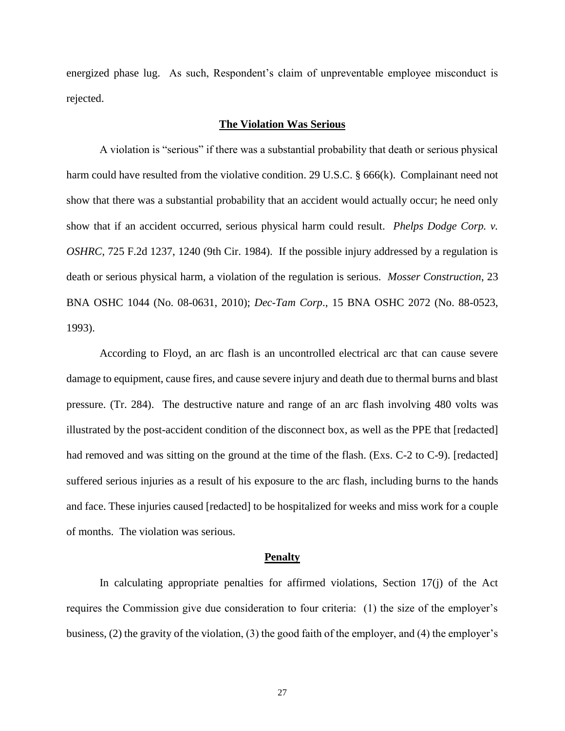energized phase lug. As such, Respondent's claim of unpreventable employee misconduct is rejected.

### **The Violation Was Serious**

A violation is "serious" if there was a substantial probability that death or serious physical harm could have resulted from the violative condition. 29 U.S.C. § 666(k). Complainant need not show that there was a substantial probability that an accident would actually occur; he need only show that if an accident occurred, serious physical harm could result. *Phelps Dodge Corp. v. OSHRC*, 725 F.2d 1237, 1240 (9th Cir. 1984). If the possible injury addressed by a regulation is death or serious physical harm, a violation of the regulation is serious. *Mosser Construction*, 23 BNA OSHC 1044 (No. 08-0631, 2010); *Dec-Tam Corp*., 15 BNA OSHC 2072 (No. 88-0523, 1993).

According to Floyd, an arc flash is an uncontrolled electrical arc that can cause severe damage to equipment, cause fires, and cause severe injury and death due to thermal burns and blast pressure. (Tr. 284). The destructive nature and range of an arc flash involving 480 volts was illustrated by the post-accident condition of the disconnect box, as well as the PPE that [redacted] had removed and was sitting on the ground at the time of the flash. (Exs. C-2 to C-9). [redacted] suffered serious injuries as a result of his exposure to the arc flash, including burns to the hands and face. These injuries caused [redacted] to be hospitalized for weeks and miss work for a couple of months. The violation was serious.

#### **Penalty**

In calculating appropriate penalties for affirmed violations, Section 17(j) of the Act requires the Commission give due consideration to four criteria: (1) the size of the employer's business, (2) the gravity of the violation, (3) the good faith of the employer, and (4) the employer's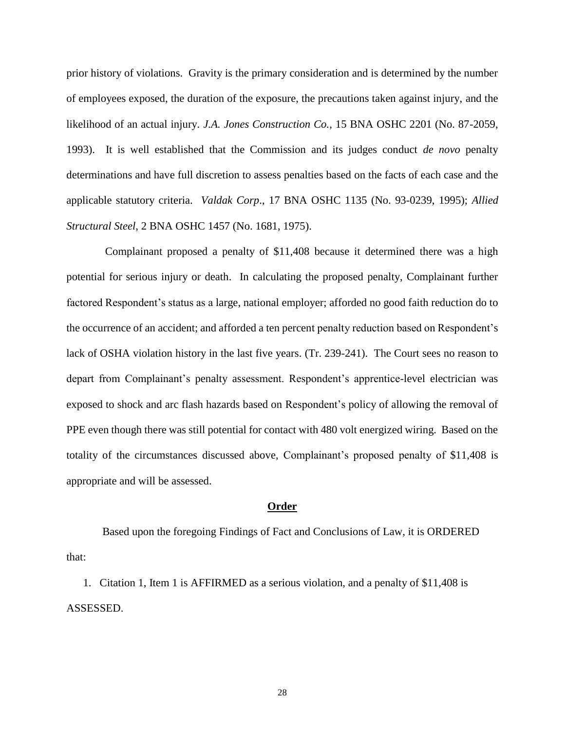prior history of violations. Gravity is the primary consideration and is determined by the number of employees exposed, the duration of the exposure, the precautions taken against injury, and the likelihood of an actual injury. *J.A. Jones Construction Co.*, 15 BNA OSHC 2201 (No. 87-2059, 1993). It is well established that the Commission and its judges conduct *de novo* penalty determinations and have full discretion to assess penalties based on the facts of each case and the applicable statutory criteria. *Valdak Corp*., 17 BNA OSHC 1135 (No. 93-0239, 1995); *Allied Structural Steel*, 2 BNA OSHC 1457 (No. 1681, 1975).

 Complainant proposed a penalty of \$11,408 because it determined there was a high potential for serious injury or death. In calculating the proposed penalty, Complainant further factored Respondent's status as a large, national employer; afforded no good faith reduction do to the occurrence of an accident; and afforded a ten percent penalty reduction based on Respondent's lack of OSHA violation history in the last five years. (Tr. 239-241). The Court sees no reason to depart from Complainant's penalty assessment. Respondent's apprentice-level electrician was exposed to shock and arc flash hazards based on Respondent's policy of allowing the removal of PPE even though there was still potential for contact with 480 volt energized wiring. Based on the totality of the circumstances discussed above, Complainant's proposed penalty of \$11,408 is appropriate and will be assessed.

### **Order**

Based upon the foregoing Findings of Fact and Conclusions of Law, it is ORDERED that:

1. Citation 1, Item 1 is AFFIRMED as a serious violation, and a penalty of \$11,408 is ASSESSED.